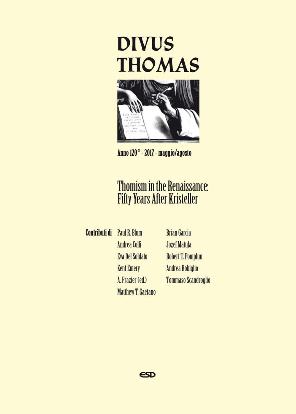



Anno 120° - 2017 - maggio/agosto

# **Thomism in the Renaissance: Fifty Years After Kristeller**

**Contributi di** Paul R. Blum **Andrea Colli Eva Del Soldato Kent Emery** A. Frazier (ed.) **Matthew T. Gaetano** 

**Brian Garcia Jozef Matula Robert T. Pomplun Andrea Robiglio Tommaso Scandroglio** 

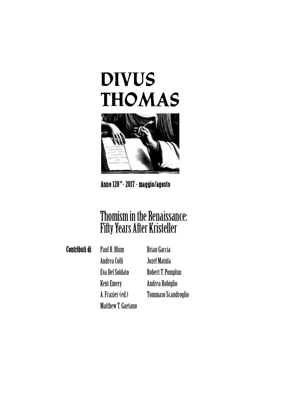# **DIVUS THOMAS**



## Anno 120**°**- 2017 - maggio/agosto

# Thomism in the Renaissance: Fifty Years After Kristeller

Contributi di PaulR.Blum

Andrea Colli EvaDelSoldato **Kent Emery** A.Frazier (ed.) MatthewT.Gaetano

BrianGarcia Jozef Matula Robert T. Pomplun Andrea Robiglio Tommaso Scandroglio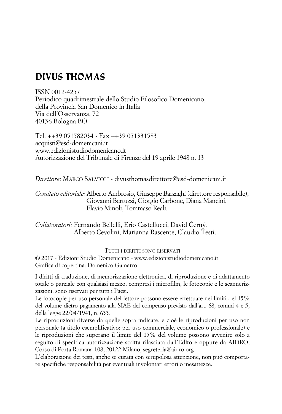# **DIVUS THOMAS**

ISSN 0012-4257 Periodico quadrimestrale dello Studio Filosofico Domenicano, della Provincia San Domenico in Italia Via dell'Osservanza, 72 40136 Bologna BO

Tel. ++39 051582034 - Fax ++39 051331583 acquisti@esd-domenicani.it www.edizionistudiodomenicano.it Autorizzazione del Tribunale di Firenze del 19 aprile 1948 n. 13

*Direttore*: MARCO SALVIOLI - divusthomasdirettore@esd-domenicani.it

*Comitato editoriale:* Alberto Ambrosio, Giuseppe Barzaghi (direttore responsabile), Giovanni Bertuzzi, Giorgio Carbone, Diana Mancini, Flavio Minoli, Tommaso Reali.

*Collaboratori:* Fernando Bellelli, Erio Castellucci, David Černý, Alberto Cevolini, Marianna Rascente, Claudio Testi.

TUTTI I DIRITTI SONO RISERVATI

© 2017 - Edizioni Studio Domenicano - www.edizionistudiodomenicano.it Grafica di copertina: Domenico Gamarro

I diritti di traduzione, di memorizzazione elettronica, di riproduzione e di adattamento totale o parziale con qualsiasi mezzo, compresi i microfilm, le fotocopie e le scannerizzazioni, sono riservati per tutti i Paesi.

Le fotocopie per uso personale del lettore possono essere effettuate nei limiti del 15% del volume dietro pagamento alla SIAE del compenso previsto dall'art. 68, commi 4 e 5, della legge 22/04/1941, n. 633.

Le riproduzioni diverse da quelle sopra indicate, e cioè le riproduzioni per uso non personale (a titolo esemplificativo: per uso commerciale, economico o professionale) e le riproduzioni che superano il limite del 15% del volume possono avvenire solo a seguito di specifica autorizzazione scritta rilasciata dall'Editore oppure da AIDRO, Corso di Porta Romana 108, 20122 Milano, segreteria@aidro.org

L'elaborazione dei testi, anche se curata con scrupolosa attenzione, non può comportare specifiche responsabilità per eventuali involontari errori o inesattezze.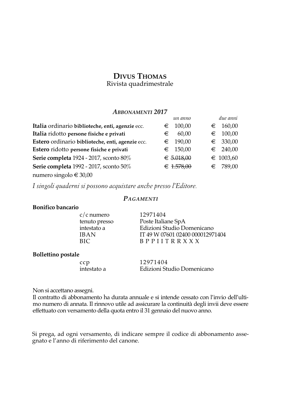# **DIVUS THOMAS**

Rivista quadrimestrale

#### *ABBONAMENTI 2017*

|                                                  | un anno      | due anni           |
|--------------------------------------------------|--------------|--------------------|
| Italia ordinario biblioteche, enti, agenzie ecc. | 100,00<br>€  | 160,00<br>€        |
| Italia ridotto persone fisiche e privati         | 60.00<br>€   | 100,00<br>€        |
| Estero ordinario biblioteche, enti, agenzie ecc. | 190,00<br>€  | $∈$ 330,00         |
| Estero ridotto persone fisiche e privati         | $∈$ 150,00   | $∈$ 240,00         |
| Serie completa 1924 - 2017, sconto 80%           | € $5.018,00$ | $\epsilon$ 1003,60 |
| Serie completa 1992 - 2017, sconto 50%           | € $1.578,00$ | 789,00<br>€        |
| numero singolo € 30,00                           |              |                    |

*I singoli quaderni si possono acquistare anche presso l'Editore.*

#### *PAGAMENTI*

#### **Bonifico bancario**

c/c numero 12971404

tenuto presso Poste Italiane SpA<br>
intestato a Edizioni Studio Do intestato a Edizioni Studio Domenicano<br>IBAN IT 49 W 07601 02400 00001297 IBAN IT 49 W 07601 02400 000012971404<br>BIC BPPIITR X X X B P P I I T R R X X X

#### **Bollettino postale**

ccp 12971404<br>intestato a Edizioni Stu Edizioni Studio Domenicano

Non si accettano assegni.

Il contratto di abbonamento ha durata annuale e si intende cessato con l'invio dell'ultimo numero di annata. Il rinnovo utile ad assicurare la continuità degli invii deve essere effettuato con versamento della quota entro il 31 gennaio del nuovo anno.

Si prega, ad ogni versamento, di indicare sempre il codice di abbonamento assegnato e l'anno di riferimento del canone.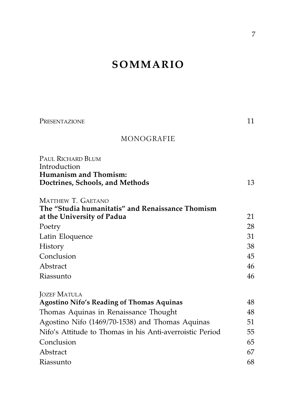# **SOMMARIO**

| PRESENTAZIONE                                                   | 11 |
|-----------------------------------------------------------------|----|
| MONOGRAFIE                                                      |    |
| PAUL RICHARD BLUM                                               |    |
| Introduction                                                    |    |
| <b>Humanism and Thomism:</b><br>Doctrines, Schools, and Methods | 13 |
|                                                                 |    |
| MATTHEW T. GAETANO                                              |    |
| The "Studia humanitatis" and Renaissance Thomism                |    |
| at the University of Padua                                      | 21 |
| Poetry                                                          | 28 |
| Latin Eloquence                                                 | 31 |
| History                                                         | 38 |
| Conclusion                                                      | 45 |
| Abstract                                                        | 46 |
| Riassunto                                                       | 46 |
| <b>JOZEF MATULA</b>                                             |    |
| <b>Agostino Nifo's Reading of Thomas Aquinas</b>                | 48 |
| Thomas Aquinas in Renaissance Thought                           | 48 |
| Agostino Nifo (1469/70-1538) and Thomas Aquinas                 | 51 |
| Nifo's Attitude to Thomas in his Anti-averroistic Period        | 55 |
| Conclusion                                                      | 65 |
| Abstract                                                        | 67 |
| Riassunto                                                       | 68 |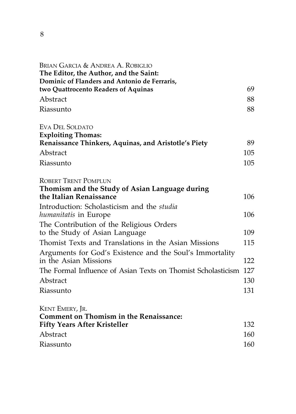| BRIAN GARCIA & ANDREA A. ROBIGLIO<br>The Editor, the Author, and the Saint:<br>Dominic of Flanders and Antonio de Ferraris, |     |
|-----------------------------------------------------------------------------------------------------------------------------|-----|
| two Quattrocento Readers of Aquinas                                                                                         | 69  |
| Abstract                                                                                                                    | 88  |
| Riassunto                                                                                                                   | 88  |
| <b>EVA DEL SOLDATO</b><br><b>Exploiting Thomas:</b>                                                                         |     |
| Renaissance Thinkers, Aquinas, and Aristotle's Piety                                                                        | 89  |
| Abstract                                                                                                                    | 105 |
| Riassunto                                                                                                                   | 105 |
| <b>ROBERT TRENT POMPLUN</b>                                                                                                 |     |
| Thomism and the Study of Asian Language during<br>the Italian Renaissance                                                   | 106 |
| Introduction: Scholasticism and the studia                                                                                  |     |
| humanitatis in Europe                                                                                                       | 106 |
| The Contribution of the Religious Orders<br>to the Study of Asian Language                                                  | 109 |
| Thomist Texts and Translations in the Asian Missions                                                                        | 115 |
| Arguments for God's Existence and the Soul's Immortality<br>in the Asian Missions                                           | 122 |
| The Formal Influence of Asian Texts on Thomist Scholasticism                                                                | 127 |
| Abstract                                                                                                                    | 130 |
| Riassunto                                                                                                                   | 131 |
| KENT EMERY, JR.                                                                                                             |     |
| <b>Comment on Thomism in the Renaissance:</b>                                                                               |     |
| <b>Fifty Years After Kristeller</b>                                                                                         | 132 |
| Abstract                                                                                                                    | 160 |
| Riassunto                                                                                                                   | 160 |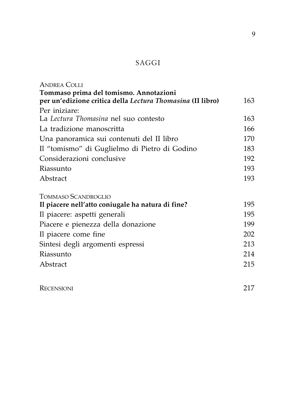### SAGGI

| <b>ANDREA COLLI</b>                                        |     |
|------------------------------------------------------------|-----|
| Tommaso prima del tomismo. Annotazioni                     |     |
| per un'edizione critica della Lectura Thomasina (II libro) | 163 |
| Per iniziare:                                              |     |
| La Lectura Thomasina nel suo contesto                      | 163 |
| La tradizione manoscritta                                  | 166 |
| Una panoramica sui contenuti del II libro                  | 170 |
| Il "tomismo" di Guglielmo di Pietro di Godino              | 183 |
| Considerazioni conclusive                                  | 192 |
| Riassunto                                                  | 193 |
| Abstract                                                   | 193 |
| TOMMASO SCANDROGLIO                                        |     |
| Il piacere nell'atto coniugale ha natura di fine?          | 195 |
| Il piacere: aspetti generali                               | 195 |
| Piacere e pienezza della donazione                         | 199 |
| Il piacere come fine                                       | 202 |
| Sintesi degli argomenti espressi                           | 213 |
| Riassunto                                                  | 214 |
| Abstract                                                   | 215 |
|                                                            |     |

RECENSIONI 217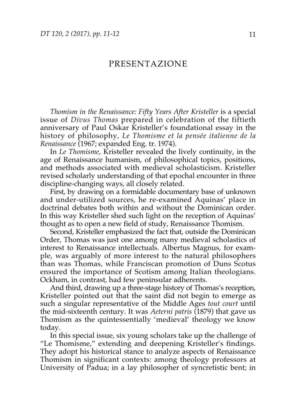#### PRESENTAZIONE

*Thomism in the Renaissance: Fifty Years After Kristeller* is a special issue of *Divus Thomas* prepared in celebration of the fiftieth anniversary of Paul Oskar Kristeller's foundational essay in the history of philosophy, *Le Thomisme et la pensée italienne de la Renaissance* (1967; expanded Eng. tr. 1974).

In *Le Thomisme*, Kristeller revealed the lively continuity, in the age of Renaissance humanism, of philosophical topics, positions, and methods associated with medieval scholasticism. Kristeller revised scholarly understanding of that epochal encounter in three discipline-changing ways, all closely related.

First, by drawing on a formidable documentary base of unknown and under-utilized sources, he re-examined Aquinas' place in doctrinal debates both within and without the Dominican order. In this way Kristeller shed such light on the reception of Aquinas' thought as to open a new field of study, Renaissance Thomism.

Second, Kristeller emphasized the fact that, outside the Dominican Order, Thomas was just one among many medieval scholastics of interest to Renaissance intellectuals. Albertus Magnus, for example, was arguably of more interest to the natural philosophers than was Thomas, while Franciscan promotion of Duns Scotus ensured the importance of Scotism among Italian theologians. Ockham, in contrast, had few peninsular adherents.

And third, drawing up a three-stage history of Thomas's reception, Kristeller pointed out that the saint did not begin to emerge as such a singular representative of the Middle Ages *tout court* until the mid-sixteenth century. It was *Aeterni patris* (1879) that gave us Thomism as the quintessentially 'medieval' theology we know today.

In this special issue, six young scholars take up the challenge of "Le Thomisme," extending and deepening Kristeller's findings. They adopt his historical stance to analyze aspects of Renaissance Thomism in significant contexts: among theology professors at University of Padua; in a lay philosopher of syncretistic bent; in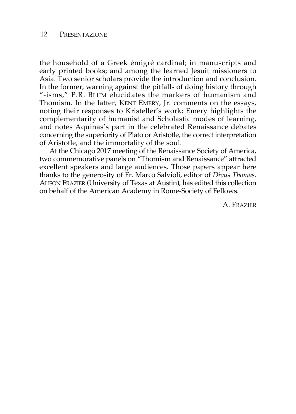#### 12 PRESENTAZIONE

the household of a Greek émigré cardinal; in manuscripts and early printed books; and among the learned Jesuit missioners to Asia. Two senior scholars provide the introduction and conclusion. In the former, warning against the pitfalls of doing history through "-isms," P.R. BLUM elucidates the markers of humanism and Thomism. In the latter, KENT EMERY, Jr. comments on the essays, noting their responses to Kristeller's work; Emery highlights the complementarity of humanist and Scholastic modes of learning, and notes Aquinas's part in the celebrated Renaissance debates concerning the superiority of Plato or Aristotle, the correct interpretation of Aristotle, and the immortality of the soul.

At the Chicago 2017 meeting of the Renaissance Society of America, two commemorative panels on "Thomism and Renaissance" attracted excellent speakers and large audiences. Those papers appear here thanks to the generosity of Fr. Marco Salvioli, editor of *Divus Thomas*. ALISON FRAZIER (University of Texas at Austin), has edited this collection on behalf of the American Academy in Rome-Society of Fellows.

A. FRAZIER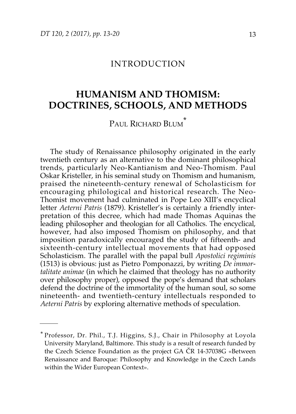#### INTRODUCTION

### **HUMANISM AND THOMISM: DOCTRINES, SCHOOLS, AND METHODS**

PAUL RICHARD BLUM<sup>\*</sup>

The study of Renaissance philosophy originated in the early twentieth century as an alternative to the dominant philosophical trends, particularly Neo-Kantianism and Neo-Thomism. Paul Oskar Kristeller, in his seminal study on Thomism and humanism, praised the nineteenth-century renewal of Scholasticism for encouraging philological and historical research. The Neo-Thomist movement had culminated in Pope Leo XIII's encyclical letter *Aeterni Patris* (1879). Kristeller's is certainly a friendly interpretation of this decree, which had made Thomas Aquinas the leading philosopher and theologian for all Catholics. The encyclical, however, had also imposed Thomism on philosophy, and that imposition paradoxically encouraged the study of fifteenth- and sixteenth-century intellectual movements that had opposed Scholasticism. The parallel with the papal bull *Apostolici regiminis* (1513) is obvious: just as Pietro Pomponazzi, by writing *De immortalitate animae* (in which he claimed that theology has no authority over philosophy proper), opposed the pope's demand that scholars defend the doctrine of the immortality of the human soul, so some nineteenth- and twentieth-century intellectuals responded to *Aeterni Patris* by exploring alternative methods of speculation.

Professor, Dr. Phil., T.J. Higgins, S.J., Chair in Philosophy at Loyola University Maryland, Baltimore. This study is a result of research funded by the Czech Science Foundation as the project GA ČR 14-37038G «Between Renaissance and Baroque: Philosophy and Knowledge in the Czech Lands within the Wider European Context».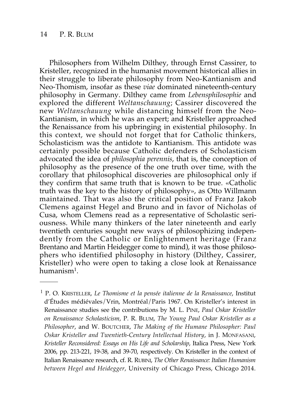Philosophers from Wilhelm Dilthey, through Ernst Cassirer, to Kristeller, recognized in the humanist movement historical allies in their struggle to liberate philosophy from Neo-Kantianism and Neo-Thomism, insofar as these *viae* dominated nineteenth-century philosophy in Germany. Dilthey came from *Lebensphilosophie* and explored the different *Weltanschauung*; Cassirer discovered the new *Weltanschauung* while distancing himself from the Neo-Kantianism, in which he was an expert; and Kristeller approached the Renaissance from his upbringing in existential philosophy. In this context, we should not forget that for Catholic thinkers, Scholasticism was the antidote to Kantianism. This antidote was certainly possible because Catholic defenders of Scholasticism advocated the idea of *philosophia perennis*, that is, the conception of philosophy as the presence of the one truth over time, with the corollary that philosophical discoveries are philosophical only if they confirm that same truth that is known to be true. «Catholic truth was the key to the history of philosophy», as Otto Willmann maintained. That was also the critical position of Franz Jakob Clemens against Hegel and Bruno and in favor of Nicholas of Cusa, whom Clemens read as a representative of Scholastic seriousness. While many thinkers of the later nineteenth and early twentieth centuries sought new ways of philosophizing independently from the Catholic or Enlightenment heritage (Franz Brentano and Martin Heidegger come to mind), it was those philosophers who identified philosophy in history (Dilthey, Cassirer, Kristeller) who were open to taking a close look at Renaissance humanism1.

<sup>1</sup> P. O. KRISTELLER, *Le Thomisme et la pensée italienne de la Renaissance*, Institut d'Études médiévales/Vrin, Montréal/Paris 1967. On Kristeller's interest in Renaissance studies see the contributions by M. L. PINE, *Paul Oskar Kristeller on Renaissance Scholasticism*, P. R. BLUM, *The Young Paul Oskar Kristeller as a Philosopher*, and W. BOUTCHER, *The Making of the Humane Philosopher: Paul Oskar Kristeller and Twentieth-Century Intellectual History*, in J. MONFASANI, *Kristeller Reconsidered: Essays on His Life and Scholarship*, Italica Press, New York 2006, pp. 213-221, 19-38, and 39-70, respectively. On Kristeller in the context of Italian Renaissance research, cf. R. RUBINI, *The Other Renaissance: Italian Humanism between Hegel and Heidegger*, University of Chicago Press, Chicago 2014.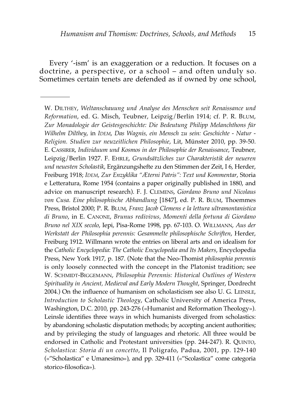Every '-ism' is an exaggeration or a reduction. It focuses on a doctrine, a perspective, or a school – and often unduly so. Sometimes certain tenets are defended as if owned by one school,

W. DILTHEY, *Weltanschauung und Analyse des Menschen seit Renaissance und Reformation*, ed. G. Misch, Teubner, Leipzig/Berlin 1914; cf. P. R. BLUM, *Zur Monadologie der Geistesgeschichte: Die Bedeutung Philipp Melanchthons für Wilhelm Dilthey*, in *IDEM*, *Das Wagnis, ein Mensch zu sein: Geschichte - Natur - Religion. Studien zur neuzeitlichen Philosophie*, Lit, Münster 2010, pp. 39-50. E. CASSIRER, *Individuum und Kosmos in der Philosophie der Renaissance*, Teubner, Leipzig/Berlin 1927. F. EHRLE, *Grundsätzliches zur Charakteristik der neueren und neuesten Scholastik*, Ergänzungshefte zu den Stimmen der Zeit, I 6, Herder, Freiburg 1918; *IDEM*, *Zur Enzyklika "Æterni Patris": Text und Kommentar*, Storia e Letteratura, Rome 1954 (contains a paper originally published in 1880, and advice on manuscript research). F. J. CLEMENS, *Giordano Bruno und Nicolaus von Cusa. Eine philosophische Abhandlung* [1847], ed. P. R. BLUM, Thoemmes Press, Bristol 2000; P. R. BLUM, *Franz Jacob Clemens e la lettura ultramontanistica di Bruno*, in E. CANONE, *Brunus redivivus, Momenti della fortuna di Giordano Bruno nel XIX secolo*, Iepi, Pisa-Rome 1998, pp. 67-103. O. WILLMANN, *Aus der Werkstatt der Philosophia perennis: Gesammelte philosophische Schriften*, Herder, Freiburg 1912. Willmann wrote the entries on liberal arts and on idealism for the *Catholic Encyclopedia*: *The Catholic Encyclopedia and Its Makers*, Encyclopedia Press, New York 1917, p. 187. (Note that the Neo-Thomist *philosophia perennis* is only loosely connected with the concept in the Platonist tradition; see W. SCHMIDT-BIGGEMANN, *Philosophia Perennis: Historical Outlines of Western Spirituality in Ancient, Medieval and Early Modern Thought*, Springer, Dordrecht 2004.) On the influence of humanism on scholasticism see also U. G. LEINSLE, *Introduction to Scholastic Theology*, Catholic University of America Press, Washington, D.C. 2010, pp. 243-276 («Humanist and Reformation Theology»). Leinsle identifies three ways in which humanists diverged from scholastics: by abandoning scholastic disputation methods; by accepting ancient authorities; and by privileging the study of languages and rhetoric. All three would be endorsed in Catholic and Protestant universities (pp. 244-247). R. QUINTO, *Scholastica: Storia di un concetto*, Il Poligrafo, Padua, 2001, pp. 129-140 («"Scholastica" e Umanesimo»), and pp. 329-411 («"Scolastica" come categoria storico-filosofica»).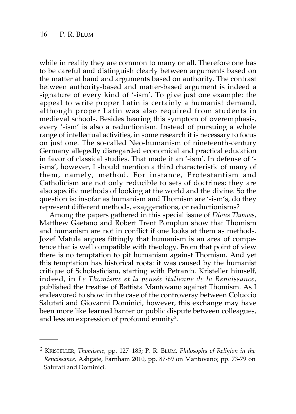while in reality they are common to many or all. Therefore one has to be careful and distinguish clearly between arguments based on the matter at hand and arguments based on authority. The contrast between authority-based and matter-based argument is indeed a signature of every kind of '-ism'. To give just one example: the appeal to write proper Latin is certainly a humanist demand, although proper Latin was also required from students in medieval schools. Besides bearing this symptom of overemphasis, every '-ism' is also a reductionism. Instead of pursuing a whole range of intellectual activities, in some research it is necessary to focus on just one. The so-called Neo-humanism of nineteenth-century Germany allegedly disregarded economical and practical education in favor of classical studies. That made it an '-ism'. In defense of ' isms', however, I should mention a third characteristic of many of them, namely, method. For instance, Protestantism and Catholicism are not only reducible to sets of doctrines; they are also specific methods of looking at the world and the divine. So the question is: insofar as humanism and Thomism are '-ism's, do they represent different methods, exaggerations, or reductionisms?

Among the papers gathered in this special issue of *Divus Thomas*, Matthew Gaetano and Robert Trent Pomplun show that Thomism and humanism are not in conflict if one looks at them as methods. Jozef Matula argues fittingly that humanism is an area of competence that is well compatible with theology. From that point of view there is no temptation to pit humanism against Thomism. And yet this temptation has historical roots: it was caused by the humanist critique of Scholasticism, starting with Petrarch. Kristeller himself, indeed, in *Le Thomisme et la pensée italienne de la Renaissance*, published the treatise of Battista Mantovano against Thomism. As I endeavored to show in the case of the controversy between Coluccio Salutati and Giovanni Dominici, however, this exchange may have been more like learned banter or public dispute between colleagues, and less an expression of profound enmity2.

<sup>2</sup> KRISTELLER, *Thomisme*, pp. 127–185; P. R. BLUM, *Philosophy of Religion in the Renaissance*, Ashgate, Farnham 2010, pp. 87-89 on Mantovano; pp. 73-79 on Salutati and Dominici.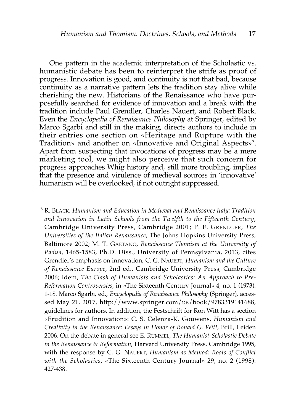One pattern in the academic interpretation of the Scholastic vs. humanistic debate has been to reinterpret the strife as proof of progress. Innovation is good, and continuity is not that bad, because continuity as a narrative pattern lets the tradition stay alive while cherishing the new. Historians of the Renaissance who have purposefully searched for evidence of innovation and a break with the tradition include Paul Grendler, Charles Nauert, and Robert Black. Even the *Encyclopedia of Renaissance Philosophy* at Springer, edited by Marco Sgarbi and still in the making, directs authors to include in their entries one section on «Heritage and Rupture with the Tradition» and another on «Innovative and Original Aspects»3. Apart from suspecting that invocations of progress may be a mere marketing tool, we might also perceive that such concern for progress approaches Whig history and, still more troubling, implies that the presence and virulence of medieval sources in 'innovative' humanism will be overlooked, if not outright suppressed.

<sup>3</sup> R. BLACK, *Humanism and Education in Medieval and Renaissance Italy: Tradition and Innovation in Latin Schools from the Twelfth to the Fifteenth Century*, Cambridge University Press, Cambridge 2001; P. F. GRENDLER, *The Universities of the Italian Renaissance*, The Johns Hopkins University Press, Baltimore 2002; M. T. GAETANO, *Renaissance Thomism at the University of Padua*, 1465-1583, Ph.D. Diss., University of Pennsylvania, 2013, cites Grendler's emphasis on innovation; C. G. NAUERT, *Humanism and the Culture of Renaissance Europe*, 2nd ed., Cambridge University Press, Cambridge 2006; idem, *The Clash of Humanists and Scholastics: An Approach to Pre-Reformation Controversies*, in «The Sixteenth Century Journal» 4, no. 1 (1973): 1-18. Marco Sgarbi, ed., *Encyclopedia of Renaissance Philosophy* (Springer), accessed May 21, 2017, http://www.springer.com/us/book/9783319141688, guidelines for authors. In addition, the Festschrift for Ron Witt has a section «Erudition and Innovation»: C. S. Celenza-K. Gouwens, *Humanism and Creativity in the Renaissance: Essays in Honor of Ronald G. Witt*, Brill, Leiden 2006. On the debate in general see E. RUMMEL, *The Humanist-Scholastic Debate in the Renaissance & Reformation*, Harvard University Press, Cambridge 1995, with the response by C. G. NAUERT, *Humanism as Method: Roots of Conflict with the Scholastics*, «The Sixteenth Century Journal» 29, no. 2 (1998): 427-438.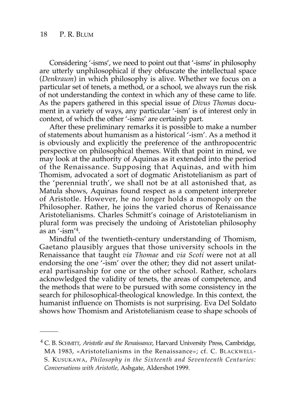Considering '-isms', we need to point out that '-isms' in philosophy are utterly unphilosophical if they obfuscate the intellectual space (*Denkraum*) in which philosophy is alive. Whether we focus on a particular set of tenets, a method, or a school, we always run the risk of not understanding the context in which any of these came to life. As the papers gathered in this special issue of *Divus Thomas* document in a variety of ways, any particular '-ism' is of interest only in context, of which the other '-isms' are certainly part.

After these preliminary remarks it is possible to make a number of statements about humanism as a historical '-ism'. As a method it is obviously and explicitly the preference of the anthropocentric perspective on philosophical themes. With that point in mind, we may look at the authority of Aquinas as it extended into the period of the Renaissance. Supposing that Aquinas, and with him Thomism, advocated a sort of dogmatic Aristotelianism as part of the 'perennial truth', we shall not be at all astonished that, as Matula shows, Aquinas found respect as a competent interpreter of Aristotle. However, he no longer holds a monopoly on the Philosopher. Rather, he joins the varied chorus of Renaissance Aristotelianisms. Charles Schmitt's coinage of Aristotelianism in plural form was precisely the undoing of Aristotelian philosophy as an '-ism' 4.

Mindful of the twentieth-century understanding of Thomism, Gaetano plausibly argues that those university schools in the Renaissance that taught *via Thomae* and *via Scoti* were not at all endorsing the one '-ism' over the other; they did not assert unilateral partisanship for one or the other school. Rather, scholars acknowledged the validity of tenets, the areas of competence, and the methods that were to be pursued with some consistency in the search for philosophical-theological knowledge. In this context, the humanist influence on Thomists is not surprising. Eva Del Soldato shows how Thomism and Aristotelianism cease to shape schools of

<sup>4</sup> C. B. SCHMITT, *Aristotle and the Renaissance*, Harvard University Press, Cambridge, MA 1983, «Aristotelianisms in the Renaissance»; cf. C. BLACKWELL-S. KUSUKAWA, *Philosophy in the Sixteenth and Seventeenth Centuries: Conversations with Aristotle*, Ashgate, Aldershot 1999.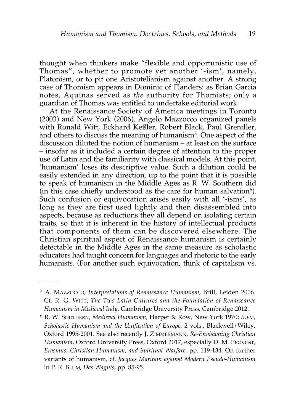thought when thinkers make "flexible and opportunistic use of Thomas", whether to promote yet another '-ism', namely, Platonism, or to pit one Aristotelianism against another. A strong case of Thomism appears in Dominic of Flanders: as Brian Garcia notes, Aquinas served as *the* authority for Thomists; only a guardian of Thomas was entitled to undertake editorial work.

At the Renaissance Society of America meetings in Toronto (2003) and New York (2006), Angelo Mazzocco organized panels with Ronald Witt, Eckhard Keßler, Robert Black, Paul Grendler, and others to discuss the meaning of humanism<sup>5</sup>. One aspect of the discussion diluted the notion of humanism – at least on the surface – insofar as it included a certain degree of attention to the proper use of Latin and the familiarity with classical models. At this point, 'humanism' loses its descriptive value. Such a dilution could be easily extended in any direction, up to the point that it is possible to speak of humanism in the Middle Ages as R. W. Southern did (in this case chiefly understood as the care for human salvation $6$ ). Such confusion or equivocation arises easily with all '-isms', as long as they are first used lightly and then disassembled into aspects, because as reductions they all depend on isolating certain traits, so that it is inherent in the history of intellectual products that components of them can be discovered elsewhere. The Christian spiritual aspect of Renaissance humanism is certainly detectable in the Middle Ages in the same measure as scholastic educators had taught concern for languages and rhetoric to the early humanists. (For another such equivocation, think of capitalism vs.

<sup>5</sup> A. MAZZOCCO, *Interpretations of Renaissance Humanism,* Brill, Leiden 2006. Cf. R. G. WITT*, The Two Latin Cultures and the Foundation of Renaissance Humanism in Medieval Italy*, Cambridge University Press, Cambridge 2012.

<sup>6</sup> R. W. SOUTHERN, *Medieval Humanism*, Harper & Row, New York 1970; *IDEM*, *Scholastic Humanism and the Unification of Europe*, 2 vols., Blackwell/Wiley, Oxford 1995-2001. See also recently J. ZIMMERMANN, *Re-Envisioning Christian Humanism*, Oxford University Press, Oxford 2017, especially D. M. PROVOST, *Erasmus, Christian Humanism, and Spiritual Warfare*, pp. 119-134. On further variants of humanism, cf. *Jacques Maritain against Modern Pseudo-Humanism* in P. R. BLUM, *Das Wagnis*, pp. 85-95.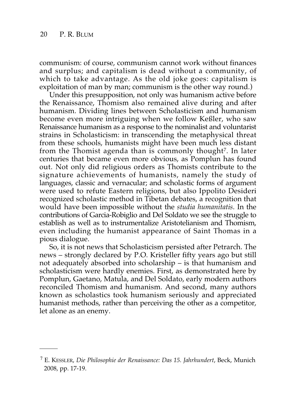communism: of course, communism cannot work without finances and surplus; and capitalism is dead without a community, of which to take advantage. As the old joke goes: capitalism is exploitation of man by man; communism is the other way round.)

Under this presupposition, not only was humanism active before the Renaissance, Thomism also remained alive during and after humanism. Dividing lines between Scholasticism and humanism become even more intriguing when we follow Keßler, who saw Renaissance humanism as a response to the nominalist and voluntarist strains in Scholasticism: in transcending the metaphysical threat from these schools, humanists might have been much less distant from the Thomist agenda than is commonly thought<sup>7</sup>. In later centuries that became even more obvious, as Pomplun has found out. Not only did religious orders as Thomists contribute to the signature achievements of humanists, namely the study of languages, classic and vernacular; and scholastic forms of argument were used to refute Eastern religions, but also Ippolito Desideri recognized scholastic method in Tibetan debates, a recognition that would have been impossible without the *studia humanitatis*. In the contributions of Garcia-Robiglio and Del Soldato we see the struggle to establish as well as to instrumentalize Aristotelianism and Thomism, even including the humanist appearance of Saint Thomas in a pious dialogue.

So, it is not news that Scholasticism persisted after Petrarch. The news – strongly declared by P.O. Kristeller fifty years ago but still not adequately absorbed into scholarship – is that humanism and scholasticism were hardly enemies. First, as demonstrated here by Pomplun, Gaetano, Matula, and Del Soldato, early modern authors reconciled Thomism and humanism. And second, many authors known as scholastics took humanism seriously and appreciated humanist methods, rather than perceiving the other as a competitor, let alone as an enemy.

<sup>7</sup> E. KESSLER, *Die Philosophie der Renaissance: Das 15. Jahrhundert*, Beck, Munich 2008, pp. 17-19.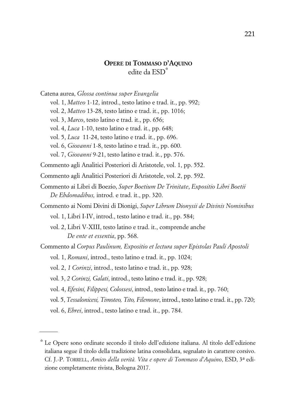#### **OPERE DI TOMMASO D'AQUINO** edite da ESD\*

Catena aurea, *Glossa continua super Evangelia*

- vol. 1, *Matteo* 1-12, introd., testo latino e trad. it., pp. 992;
- vol. 2, *Matteo* 13-28, testo latino e trad. it., pp. 1016;
- vol. 3, *Marco*, testo latino e trad. it., pp. 656;
- vol. 4, *Luca* 1-10, testo latino e trad. it., pp. 648;
- vol. 5, *Luca* 11-24, testo latino e trad. it., pp. 696.
- vol. 6, *Giovanni* 1-8, testo latino e trad. it., pp. 600.
- vol. 7, *Giovanni* 9-21, testo latino e trad. it., pp. 576.
- Commento agli Analitici Posteriori di Aristotele, vol. 1, pp. 552.
- Commento agli Analitici Posteriori di Aristotele, vol. 2, pp. 592.
- Commento ai Libri di Boezio, *Super Boetium De Trinitate*, *Expositio Libri Boetii De Ebdomadibus,* introd. e trad. it., pp. 320.
- Commento ai Nomi Divini di Dionigi, *Super Librum Dionysii de Divinis Nominibus* vol. 1, Libri I-IV, introd., testo latino e trad. it., pp. 584;
	- vol. 2, Libri V-XIII, testo latino e trad. it., comprende anche *De ente et essentia*, pp. 568.
- Commento al *Corpus Paulinum, Expositio et lectura super Epistolas Pauli Apostoli*
	- vol. 1, *Romani*, introd., testo latino e trad. it., pp. 1024;
	- vol. 2, *1 Corinzi*, introd., testo latino e trad. it., pp. 928;
	- vol. 3, *2 Corinzi, Galati*, introd., testo latino e trad. it., pp. 928;
	- vol. 4, *Efesini, Filippesi, Colossesi*, introd., testo latino e trad. it., pp. 760;
	- vol. 5, *Tessalonicesi, Timoteo, Tito, Filemone*, introd., testo latino e trad. it., pp. 720;
	- vol. 6, *Ebrei*, introd., testo latino e trad. it., pp. 784.

<sup>\*</sup> Le Opere sono ordinate secondo il titolo dell'edizione italiana. Al titolo dell'edizione italiana segue il titolo della tradizione latina consolidata, segnalato in carattere corsivo. Cf. J.-P. TORRELL, *Amico della verità. Vita e opere di Tommaso d'Aquino*, ESD, 3a edizione completamente rivista, Bologna 2017.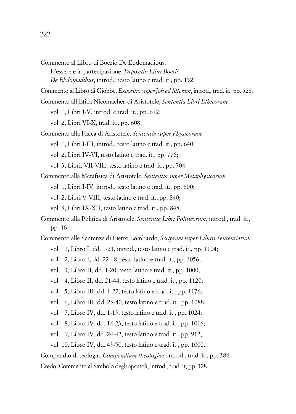Commento al Libro di Boezio De Ebdomadibus.

L'essere e la partecipazione, *Expositio Libri Boetii De Ebdomadibus*, introd., testo latino e trad. it., pp. 152.

Commento al Libro di Giobbe, *Expositio super Job ad litteram*, introd., trad. it., pp. 528.

- Commento all'Etica Nicomachea di Aristotele, *Sententia Libri Ethicorum*
	- vol. 1, Libri I-V, introd. e trad. it., pp. 672;
	- vol. 2, Libri VI-X, trad. it., pp. 608.
- Commento alla Fisica di Aristotele, *Sententia super Physicorum* vol. 1, Libri I-III, introd., testo latino e trad. it., pp. 640; vol. 2, Libri IV-VI, testo latino e trad. it., pp. 776; vol. 3, Libri, VII-VIII, testo latino e trad. it., pp. 704.
- Commento alla Metafisica di Aristotele, *Sententia super Metaphysicorum* vol. 1, Libri I-IV, introd., testo latino e trad. it., pp. 800; vol. 2, Libri V-VIII, testo latino e trad. it., pp. 840; vol. 3, Libri IX-XII, testo latino e trad. it., pp. 848.
- Commento alla Politica di Aristotele, *Sententia Libri Politicorum*, introd., trad. it., pp. 464.
- Commento alle Sentenze di Pietro Lombardo, *Scriptum super Libros Sententiarum* vol. 1, Libro I, dd. 1-21, introd., testo latino e trad. it., pp. 1104;
	- vol. 2, Libro I, dd. 22-48, testo latino e trad. it., pp. 1056;
	- vol. 3, Libro II, dd. 1-20, testo latino e trad. it., pp. 1000;
	- vol. 4, Libro II, dd. 21-44, testo latino e trad. it., pp. 1120;
	- vol. 5, Libro III, dd. 1-22, testo latino e trad. it., pp. 1176;
	- vol. 6, Libro III, dd. 23-40, testo latino e trad. it., pp. 1088;
	- vol. 7, Libro IV, dd. 1-13, testo latino e trad. it., pp. 1024;
	- vol. 8, Libro IV, dd. 14-23, testo latino e trad. it., pp. 1016;
	- vol. 9, Libro IV, dd. 24-42, testo latino e trad. it., pp. 912;
	- vol. 10, Libro IV, dd. 43-50, testo latino e trad. it., pp. 1000.

Compendio di teologia, *Compendium theologiae*, introd., trad. it., pp. 384.

Credo. Commento al Simbolo degli apostoli, introd., trad. it, pp. 128.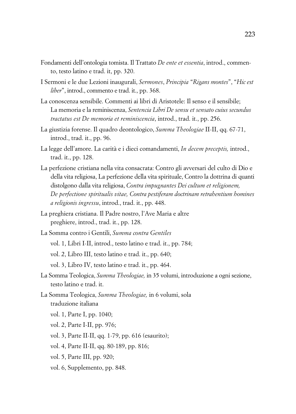- Fondamenti dell'ontologia tomista. Il Trattato *De ente et essentia*, introd., commento, testo latino e trad. it, pp. 320.
- I Sermoni e le due Lezioni inaugurali, *Sermones*, *Principia* "*Rigans montes*", "*Hic est liber*", introd., commento e trad. it., pp. 368.
- La conoscenza sensibile. Commenti ai libri di Aristotele: Il senso e il sensibile; La memoria e la reminiscenza, *Sentencia Libri De sensu et sensato cuius secundus tractatus est De memoria et reminiscencia*, introd., trad. it., pp. 256.
- La giustizia forense. Il quadro deontologico, *Summa Theologiae* II-II, qq. 67-71, introd., trad. it., pp. 96.
- La legge dell'amore. La carità e i dieci comandamenti, *In decem preceptis,* introd., trad. it., pp. 128.
- La perfezione cristiana nella vita consacrata: Contro gli avversari del culto di Dio e della vita religiosa, La perfezione della vita spirituale, Contro la dottrina di quanti distolgono dalla vita religiosa, *Contra impugnantes Dei cultum et religionem, De perfectione spiritualis vitae, Contra pestiferam doctrinam retrahentium homines a religionis ingressu*, introd., trad. it., pp. 448.
- La preghiera cristiana. Il Padre nostro, l'Ave Maria e altre preghiere, introd., trad. it., pp. 128.
- La Somma contro i Gentili, *Summa contra Gentiles* vol. 1, Libri I-II, introd., testo latino e trad. it., pp. 784;
	- vol. 2, Libro III, testo latino e trad. it., pp. 640;
	- vol. 3, Libro IV, testo latino e trad. it., pp. 464.
- La Somma Teologica, *Summa Theologiae,* in 35 volumi, introduzione a ogni sezione, testo latino e trad. it.
- La Somma Teologica, *Summa Theologiae,* in 6 volumi, sola traduzione italiana
	- vol. 1, Parte I, pp. 1040;
	- vol. 2, Parte I-II, pp. 976;
	- vol. 3, Parte II-II, qq. 1-79, pp. 616 (esaurito);
	- vol. 4, Parte II-II, qq. 80-189, pp. 816;
	- vol. 5, Parte III, pp. 920;
	- vol. 6, Supplemento, pp. 848.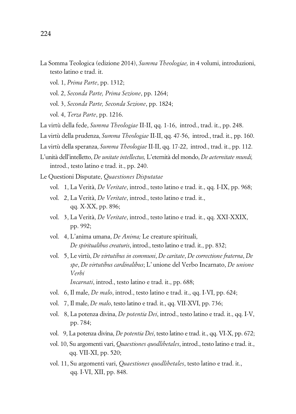- La Somma Teologica (edizione 2014), *Summa Theologiae,* in 4 volumi, introduzioni, testo latino e trad. it.
	- vol. 1, *Prima Parte*, pp. 1312;
	- vol. 2, *Seconda Parte, Prima Sezione*, pp. 1264;
	- vol. 3, *Seconda Parte, Seconda Sezione*, pp. 1824;
	- vol. 4, *Terza Parte*, pp. 1216.
- La virtù della fede, *Summa Theologiae* II-II, qq. 1-16, introd., trad. it., pp. 248.
- La virtù della prudenza, *Summa Theologiae* II-II, qq. 47-56, introd., trad. it., pp. 160.
- La virtù della speranza, *Summa Theologiae* II-II, qq. 17-22, introd., trad. it., pp. 112.
- L'unità dell'intelletto, *De unitate intellectus,* L'eternità del mondo, *De aeternitate mundi,* introd., testo latino e trad. it., pp. 240.
- Le Questioni Disputate, *Quaestiones Disputatae*
	- vol. 1, La Verità, *De Veritate*, introd., testo latino e trad. it., qq. I-IX, pp. 968;
	- vol. 2, La Verità, *De Veritate*, introd., testo latino e trad. it., qq. X-XX, pp. 896;
	- vol. 3, La Verità, *De Veritate*, introd., testo latino e trad. it., qq. XXI-XXIX, pp. 992;
	- vol. 4, L'anima umana, *De Anima;* Le creature spirituali, *De spiritualibus creaturis*, introd., testo latino e trad. it., pp. 832;
	- vol. 5, Le virtù, *De virtutibus in communi*, *De caritate*, *De correctione fraterna*, *De spe*, *De virtutibus cardinalibus*; L' unione del Verbo Incarnato, *De unione Verbi Incarnati*, introd., testo latino e trad. it., pp. 688;
	- vol. 6, Il male, *De malo*, introd., testo latino e trad. it., qq. I-VI, pp. 624;
	- vol. 7, Il male, *De malo*, testo latino e trad. it., qq. VII-XVI, pp. 736;
	- vol. 8, La potenza divina, *De potentia Dei*, introd., testo latino e trad. it., qq. I-V, pp. 784;
	- vol. 9, La potenza divina, *De potentia Dei*, testo latino e trad. it., qq. VI-X, pp. 672;
	- vol. 10, Su argomenti vari, *Quaestiones quodlibetales*, introd., testo latino e trad. it., qq. VII-XI, pp. 520;
	- vol. 11, Su argomenti vari, *Quaestiones quodlibetales*, testo latino e trad. it., qq. I-VI, XII, pp. 848.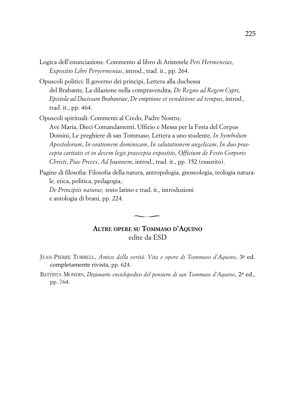- Logica dell'enunciazione. Commento al libro di Aristotele *Peri Hermeneias, Expositio Libri Peryermenias*, introd., trad. it., pp. 264.
- Opuscoli politici: Il governo dei principi, Lettera alla duchessa del Brabante, La dilazione nella compravendita, *De Regno ad Regem Cypri*, *Epistola ad Ducissam Brabantiae*, *De emptione et venditione ad tempus*, introd., trad. it., pp. 464.
- Opuscoli spirituali: Commenti al Credo, Padre Nostro, Ave Maria, Dieci Comandamenti, Ufficio e Messa per la Festa del Corpus Domini, Le preghiere di san Tommaso, Lettera a uno studente, *In Symbolum Apostolorum*, *In orationem dominicam*, *In salutationem angelicam*, *In duo praecepta caritatis et in decem legis praecepta expositio*, *Officium de Festo Corporis Christi*, *Piae Preces*, *Ad Joannem*, introd., trad. it., pp. 352 (esaurito).
- Pagine di filosofia: Filosofia della natura, antropologia, gnoseologia, teologia naturale, etica, politica, pedagogia,

*De Principiis naturae,* testo latino e trad. it., introduzioni e antologia di brani, pp. 224.

#### **ALTRE OPERE SU TOMMASO D'AQUINO** edite da ESD

- JEAN-PIERRE TORRELL, *Amico della verità. Vita e opere di Tommaso d'Aquino*, 3a ed. completamente rivista*,* pp. 624.
- BATTISTA MONDIN, *Dizionario enciclopedico del pensiero di san Tommaso d'Aquino*, 2a ed*.,* pp. 764.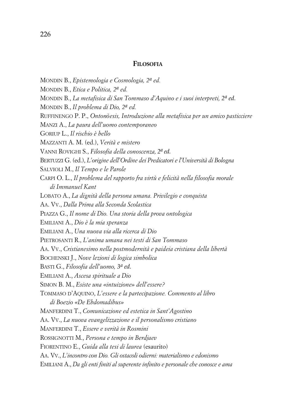#### **FILOSOFIA**

MONDIN B., *Epistemologia e Cosmologia, 2a ed.* MONDIN B., *Etica e Politica, 2a ed.* MONDIN B., *La metafisica di San Tommaso d'Aquino e i suoi interpreti, 2a ed.* MONDIN B., *Il problema di Dio, 2a ed.* RUFFINENGO P. P., *Ontonòesis, Introduzione alla metafisica per un amico pasticciere* MANZI A., *La paura dell'uomo contemporaneo* GORIUP L., *Il rischio è bello* MAZZANTI A. M. (ed.), *Verità e mistero* VANNI ROVIGHI S., *Filosofia della conoscenza, 2a ed.* BERTUZZI G. (ed.), *L'origine dell'Ordine dei Predicatori e l'Università di Bologna* SALVIOLI M., *Il Tempo e le Parole* CARPI O. L., *Il problema del rapporto fra virtù e felicità nella filosofia morale di Immanuel Kant* LOBATO A., *La dignità della persona umana. Privilegio e conquista* AA. VV., *Dalla Prima alla Seconda Scolastica* PIAZZA G., *Il nome di Dio. Una storia della prova ontologica* EMILIANI A., *Dio è la mia speranza* EMILIANI A., *Una nuova via alla ricerca di Dio* PIETROSANTI R., *L'anima umana nei testi di San Tommaso* AA. VV., *Cristianesimo nella postmodernità e paideia cristiana della libertà* BOCHENSKI J., *Nove lezioni di logica simbolica* BASTI G., *Filosofia dell'uomo, 3a ed.* EMILIANI A., *Ascesa spirituale a Dio* SIMON B. M., *Esiste una «intuizione» dell'essere?* TOMMASO D'AQUINO, *L'essere e la partecipazione. Commento al libro di Boezio «De Ebdomadibus»* MANFERDINI T., *Comunicazione ed estetica in Sant'Agostino* AA. VV., *La nuova evangelizzazione e il personalismo cristiano* MANFERDINI T., *Essere e verità in Rosmini* ROSSIGNOTTI M., *Persona e tempo in Berdjaev* FIORENTINO E., *Guida alla tesi di laurea* (esaurito) AA. VV., *L'incontro con Dio. Gli ostacoli odierni: materialismo e edonismo* EMILIANI A., *Da gli enti finiti al superente infinito e personale che conosce e ama*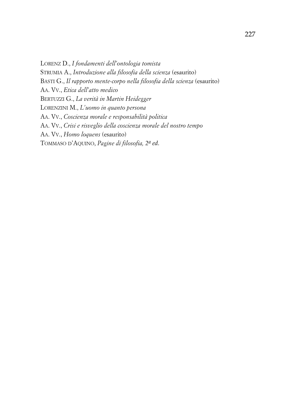LORENZ D., *I fondamenti dell'ontologia tomista* STRUMIA A., *Introduzione alla filosofia della scienza* (esaurito) BASTI G., *Il rapporto mente-corpo nella filosofia della scienza* (esaurito) AA. VV., *Etica dell'atto medico* BERTUZZI G., *La verità in Martin Heidegger* LORENZINI M., *L'uomo in quanto persona* AA. VV., *Coscienza morale e responsabilità politica* AA. VV., *Crisi e risveglio della coscienza morale del nostro tempo* AA. VV., *Homo loquens* (esaurito) TOMMASO D'AQUINO, *Pagine di filosofia, 2a ed.*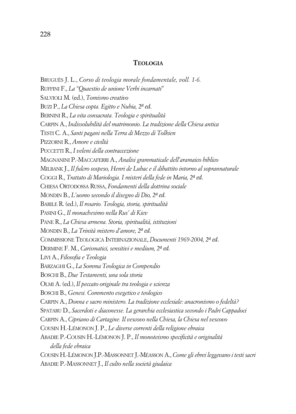#### **TEOLOGIA**

BRUGUÈS J. L., *Corso di teologia morale fondamentale, voll. 1-6.* RUFFINI F., *La "Quaestio de unione Verbi incarnati"* SALVIOLI M. (ed.), *Tomismo creativo* BUZI P., *La Chiesa copta. Egitto e Nubia, 2a ed.* BERNINI R., *La vita consacrata. Teologia e spiritualità* CARPIN A., *Indissolubilità del matrimonio. La tradizione della Chiesa antica* TESTI C. A., *Santi pagani nella Terra di Mezzo di Tolkien* PIZZORNI R., *Amore e civiltà* PUCCETTI R., *I veleni della contraccezione* MAGNANINI P.-MACCAFERRI A., *Analisi grammaticale dell'aramaico biblico* MILBANK J., *Il fulcro sospeso, Henri de Lubac e il dibattito intorno al soprannaturale* COGGI R., *Trattato di Mariologia. I misteri della fede in Maria, 2a ed.* CHIESA ORTODOSSA RUSSA, *Fondamenti della dottrina sociale* MONDIN B., *L'uomo secondo il disegno di Dio, 2a ed.* BARILE R. (ed.), *Il rosario. Teologia, storia, spiritualità* PASINI G., *Il monachesimo nella Rus' di Kiev* PANE R., *La Chiesa armena. Storia, spiritualità, istituzioni* MONDIN B., *La Trinità mistero d'amore, 2a ed.* COMMISSIONE TEOLOGICA INTERNAZIONALE, *Documenti 1969-2004, 2a ed.* DERMINE F. M., *Carismatici, sensitivi e medium, 2a ed.* LIVI A., *Filosofia e Teologia* BARZAGHI G., *La Somma Teologica in Compendio* BOSCHI B., *Due Testamenti, una sola storia* OLMI A. (ed.), *Il peccato originale tra teologia e scienza* BOSCHI B., *Genesi. Commento esegetico e teologico* CARPIN A., *Donna e sacro ministero. La tradizione ecclesiale: anacronismo o fedeltà?* SPATARU D., *Sacerdoti e diaconesse. La gerarchia ecclesiastica secondo i Padri Cappadoci* CARPIN A., *Cipriano di Cartagine. Il vescovo nella Chiesa, la Chiesa nel vescovo* COUSIN H.-LÉMONON J. P., *Le diverse correnti della religione ebraica* ABADIE P.-COUSIN H.-LÉMONON J. P., *Il monoteismo specificità e originalità della fede ebraica* COUSIN H.-LÉMONON J.P.-MASSONNET J.-MÉASSON A., *Come gli ebrei leggevano i testi sacri* ABADIE P.-MASSONNET J., *Il culto nella società giudaica*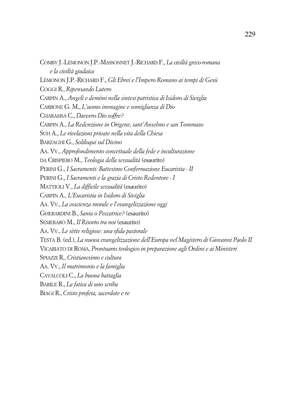COMBY J.-LÉMONON J.P.-MASSONNET J.-RICHARD F., *La civiltà greco-romana e la civiltà giudaica* LÉMONON J.P.-RICHARD F., *Gli Ebrei e l'Impero Romano ai tempi di Gesù* COGGI R., *Ripensando Lutero* CARPIN A., *Angeli e demòni nella sintesi patristica di Isidoro di Siviglia* CARBONE G. M., *L'uomo immagine e somiglianza di Dio* CHARAMSA C., *Davvero Dio soffre?* CARPIN A., *La Redenzione in Origene, sant'Anselmo e san Tommaso* SUH A., *Le rivelazioni private nella vita della Chiesa* BARZAGHI G., *Soliloqui sul Divino* AA. VV., *Approfondimento concettuale della fede e inculturazione* DA CRISPIERO M., *Teologia della sessualità* (esaurito) PERINI G., *I Sacramenti: Battesimo Confermazione Eucaristia - II* PERINI G., *I Sacramenti e la grazia di Cristo Redentore - I* MATTIOLI V., *La difficile sessualità* (esaurito) CARPIN A., *L'Eucaristia in Isidoro di Siviglia* AA. VV., *La coscienza morale e l'evangelizzazione oggi* GHERARDINI B., *Santa o Peccatrice?* (esaurito) SEMERARO M., *Il Risorto tra noi* (esaurito) AA. VV., *Le sètte religiose: una sfida pastorale* TESTA B. (ed.), *La nuova evangelizzazione dell'Europa nel Magistero di Giovanni Paolo II* VICARIATO DI ROMA, *Prontuario teologico in preparazione agli Ordini e ai Ministeri* SPIAZZI R., *Cristianesimo e cultura* AA. VV., *Il matrimonio e la famiglia* CAVALCOLI C., *La buona battaglia* BARILE R., *La fatica di uno scriba* BIAGI R., *Cristo profeta, sacerdote e re*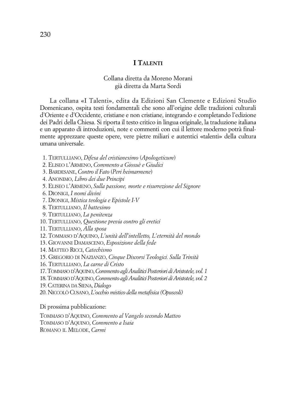#### **I TALENTI**

#### Collana diretta da Moreno Morani già diretta da Marta Sordi

La collana «I Talenti», edita da Edizioni San Clemente e Edizioni Studio Domenicano, ospita testi fondamentali che sono all'origine delle tradizioni culturali d'Oriente e d'Occidente, cristiane e non cristiane, integrando e completando l'edizione dei Padri della Chiesa. Si riporta il testo critico in lingua originale, la traduzione italiana e un apparato di introduzioni, note e commenti con cui il lettore moderno potrà finalmente apprezzare queste opere, vere pietre miliari e autentici «talenti» della cultura umana universale.

- 1. TERTULLIANO, *Difesa del cristianesimo* (*Apologeticum*)
- 2. ELISEO L'ARMENO, *Commento a Giosuè e Giudici*
- 3. BARDESANE, *Contro il Fato* (*Peri heimarmene*)
- 4. ANONIMO, *Libro dei due Principi*
- 5. ELISEO L'ARMENO, *Sulla passione, morte e risurrezione del Signore*
- 6. DIONIGI, *I nomi divini*
- 7. DIONIGI, *Mistica teologia e Epistole I-V*
- 8. TERTULLIANO, *Il battesimo*
- 9. TERTULLIANO, *La penitenza*
- 10. TERTULLIANO, *Questione previa contro gli eretici*
- 11. TERTULLIANO, *Alla sposa*
- 12. TOMMASO D'AQUINO, *L'unità dell'intelletto, L'eternità del mondo*
- 13. GIOVANNI DAMASCENO, *Esposizione della fede*
- 14. MATTEO RICCI, *Catechismo*
- 15. GREGORIO DI NAZIANZO, *Cinque Discorsi Teologici. Sulla Trinità*
- 16. TERTULLIANO, *La carne di Cristo*
- 17.TOMMASO D'AQUINO,*Commento agliAnaliticiPosteriori diAristotele, vol. 1*
- 18.TOMMASO D'AQUINO,*Commento agliAnaliticiPosteriori diAristotele, vol. 2*
- 19.CATERINA DA SIENA, *Dialogo*
- 20. NICCOLÒ CUSANO, *L'occhio mistico della metafisica (Opuscoli)*

Di prossima pubblicazione:

TOMMASO D'AQUINO, *Commento al Vangelo secondo Matteo* TOMMASO D'AQUINO, *Commento a Isaia* ROMANO IL MELODE, *Carmi*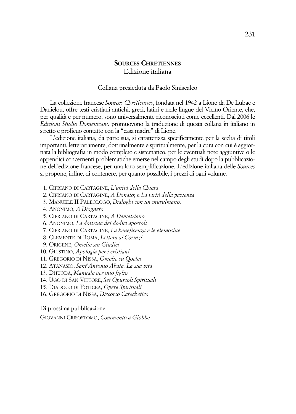#### **SOURCES CHRÉTIENNES** Edizione italiana

#### Collana presieduta da Paolo Siniscalco

La collezione francese *Sources Chrétiennes*, fondata nel 1942 a Lione da De Lubac e Daniélou, offre testi cristiani antichi, greci, latini e nelle lingue del Vicino Oriente, che, per qualità e per numero, sono universalmente riconosciuti come eccellenti. Dal 2006 le *Edizioni Studio Domenicano* promuovono la traduzione di questa collana in italiano in stretto e proficuo contatto con la "casa madre" di Lione.

L'edizione italiana, da parte sua, si caratterizza specificamente per la scelta di titoli importanti, letterariamente, dottrinalmente e spiritualmente, per la cura con cui è aggiornata la bibliografia in modo completo e sistematico, per le eventuali note aggiuntive o le appendici concernenti problematiche emerse nel campo degli studi dopo la pubblicazione dell'edizione francese, per una loro semplificazione. L'edizione italiana delle *Sources* si propone, infine, di contenere, per quanto possibile, i prezzi di ogni volume.

- 1. CIPRIANO DI CARTAGINE, *L'unità della Chiesa*
- 2. CIPRIANO DI CARTAGINE, *A Donato*; e *La virtù della pazienza*
- 3. MANUELE II PALEOLOGO, *Dialoghi con un musulmano.*
- 4. ANONIMO, *A Diogneto*
- 5. CIPRIANO DI CARTAGINE, *A Demetriano*
- 6. ANONIMO, *La dottrina dei dodici apostoli*
- 7. CIPRIANO DI CARTAGINE, *La beneficenza e le elemosine*
- 8. CLEMENTE DI ROMA, *Lettera ai Corinzi*
- 9. ORIGENE, *Omelie sui Giudici*
- 10. GIUSTINO, *Apologia per i cristiani*
- 11. GREGORIO DI NISSA, *Omelie su Qoelet*
- 12. ATANASIO, *Sant'Antonio Abate. La sua vita*
- 13. DHUODA, *Manuale per mio figlio*
- 14. UGO DI SAN VITTORE, *Sei Opuscoli Spirituali*
- 15. DIADOCO DI FOTICEA, *Opere Spirituali*
- 16. GREGORIO DI NISSA, *Discorso Catechetico*

Di prossima pubblicazione:

GIOVANNI CRISOSTOMO, *Commento a Giobbe*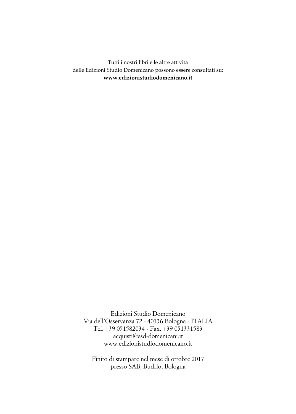Tutti i nostri libri e le altre attività delle Edizioni Studio Domenicano possono essere consultati su: **www.edizionistudiodomenicano.it**

Edizioni Studio Domenicano Via dell'Osservanza 72 - 40136 Bologna - ITALIA Tel. +39 051582034 - Fax. +39 051331583 acquisti@esd-domenicani.it www.edizionistudiodomenicano.it

Finito di stampare nel mese di ottobre 2017 presso SAB, Budrio, Bologna